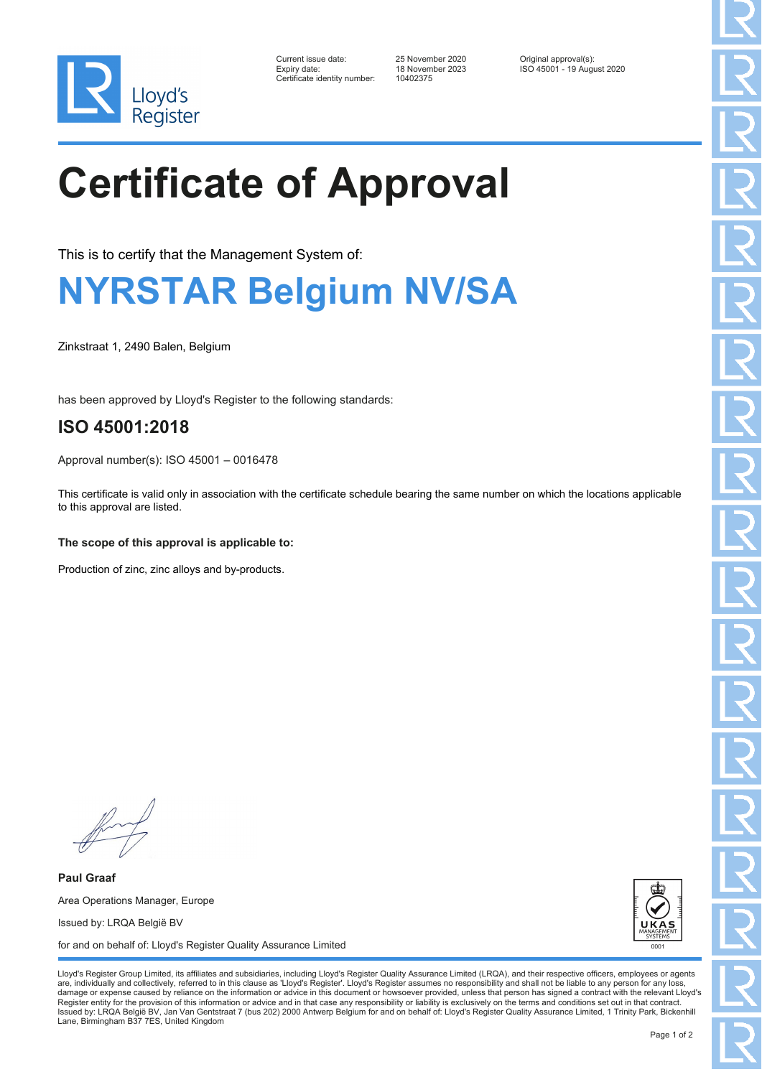

| Current issue date:         |
|-----------------------------|
| Expiry date:                |
| Certificate identity number |

Certificate identity number: 10402375

Current issue date: 25 November 2020 Original approval(s): Expiry date: 18 November 2023 ISO 45001 - 19 August 2020

# **Certificate of Approval**

This is to certify that the Management System of:

### **NYRSTAR Belgium NV/SA**

Zinkstraat 1, 2490 Balen, Belgium

has been approved by Lloyd's Register to the following standards:

### **ISO 45001:2018**

Approval number(s): ISO 45001 – 0016478

This certificate is valid only in association with the certificate schedule bearing the same number on which the locations applicable to this approval are listed.

#### **The scope of this approval is applicable to:**

Production of zinc, zinc alloys and by-products.

**Paul Graaf** Area Operations Manager, Europe Issued by: LRQA België BV for and on behalf of: Lloyd's Register Quality Assurance Limited



Lloyd's Register Group Limited, its affiliates and subsidiaries, including Lloyd's Register Quality Assurance Limited (LRQA), and their respective officers, employees or agents are, individually and collectively, referred to in this clause as 'Lloyd's Register'. Lloyd's Register assumes no responsibility and shall not be liable to any person for any los damage or expense caused by reliance on the information or advice in this document or howsoever provided, unless that person has signed a contract with the relevant Lloyd's<br>Register entity for the provision of this informa Issued by: LRQA België BV, Jan Van Gentstraat 7 (bus 202) 2000 Antwerp Belgium for and on behalf of: Lloyd's Register Quality Assurance Limited, 1 Trinity Park, Bickenhill Lane, Birmingham B37 7ES, United Kingdom